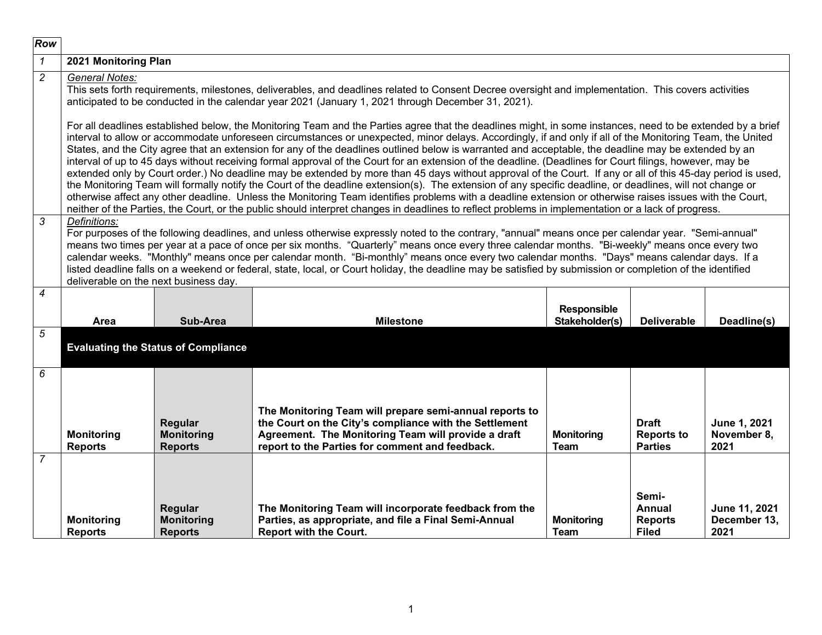| Row                      |                                                                                                                                                                                                                                                                                                                                                                                                                                                                                                                                                                                                                                                                                                                                                                                                                                                                                                                                                                                                                                                                                                                                                                                                                                                                                            |                                                                                                                                                                                                                                                                                                                                                                                                                                                                                                                                                                                                                                                               |                                                                                                                                                                                                                                                            |                                      |                                                          |                                       |  |
|--------------------------|--------------------------------------------------------------------------------------------------------------------------------------------------------------------------------------------------------------------------------------------------------------------------------------------------------------------------------------------------------------------------------------------------------------------------------------------------------------------------------------------------------------------------------------------------------------------------------------------------------------------------------------------------------------------------------------------------------------------------------------------------------------------------------------------------------------------------------------------------------------------------------------------------------------------------------------------------------------------------------------------------------------------------------------------------------------------------------------------------------------------------------------------------------------------------------------------------------------------------------------------------------------------------------------------|---------------------------------------------------------------------------------------------------------------------------------------------------------------------------------------------------------------------------------------------------------------------------------------------------------------------------------------------------------------------------------------------------------------------------------------------------------------------------------------------------------------------------------------------------------------------------------------------------------------------------------------------------------------|------------------------------------------------------------------------------------------------------------------------------------------------------------------------------------------------------------------------------------------------------------|--------------------------------------|----------------------------------------------------------|---------------------------------------|--|
| $\mathcal{I}$            | 2021 Monitoring Plan                                                                                                                                                                                                                                                                                                                                                                                                                                                                                                                                                                                                                                                                                                                                                                                                                                                                                                                                                                                                                                                                                                                                                                                                                                                                       |                                                                                                                                                                                                                                                                                                                                                                                                                                                                                                                                                                                                                                                               |                                                                                                                                                                                                                                                            |                                      |                                                          |                                       |  |
| $\overline{c}$           | General Notes:                                                                                                                                                                                                                                                                                                                                                                                                                                                                                                                                                                                                                                                                                                                                                                                                                                                                                                                                                                                                                                                                                                                                                                                                                                                                             |                                                                                                                                                                                                                                                                                                                                                                                                                                                                                                                                                                                                                                                               | This sets forth requirements, milestones, deliverables, and deadlines related to Consent Decree oversight and implementation. This covers activities<br>anticipated to be conducted in the calendar year 2021 (January 1, 2021 through December 31, 2021). |                                      |                                                          |                                       |  |
|                          | For all deadlines established below, the Monitoring Team and the Parties agree that the deadlines might, in some instances, need to be extended by a brief<br>interval to allow or accommodate unforeseen circumstances or unexpected, minor delays. Accordingly, if and only if all of the Monitoring Team, the United<br>States, and the City agree that an extension for any of the deadlines outlined below is warranted and acceptable, the deadline may be extended by an<br>interval of up to 45 days without receiving formal approval of the Court for an extension of the deadline. (Deadlines for Court filings, however, may be<br>extended only by Court order.) No deadline may be extended by more than 45 days without approval of the Court. If any or all of this 45-day period is used,<br>the Monitoring Team will formally notify the Court of the deadline extension(s). The extension of any specific deadline, or deadlines, will not change or<br>otherwise affect any other deadline. Unless the Monitoring Team identifies problems with a deadline extension or otherwise raises issues with the Court,<br>neither of the Parties, the Court, or the public should interpret changes in deadlines to reflect problems in implementation or a lack of progress. |                                                                                                                                                                                                                                                                                                                                                                                                                                                                                                                                                                                                                                                               |                                                                                                                                                                                                                                                            |                                      |                                                          |                                       |  |
| 3                        | Definitions:                                                                                                                                                                                                                                                                                                                                                                                                                                                                                                                                                                                                                                                                                                                                                                                                                                                                                                                                                                                                                                                                                                                                                                                                                                                                               | For purposes of the following deadlines, and unless otherwise expressly noted to the contrary, "annual" means once per calendar year. "Semi-annual"<br>means two times per year at a pace of once per six months. "Quarterly" means once every three calendar months. "Bi-weekly" means once every two<br>calendar weeks. "Monthly" means once per calendar month. "Bi-monthly" means once every two calendar months. "Days" means calendar days. If a<br>listed deadline falls on a weekend or federal, state, local, or Court holiday, the deadline may be satisfied by submission or completion of the identified<br>deliverable on the next business day. |                                                                                                                                                                                                                                                            |                                      |                                                          |                                       |  |
| $\overline{\mathcal{A}}$ | Area                                                                                                                                                                                                                                                                                                                                                                                                                                                                                                                                                                                                                                                                                                                                                                                                                                                                                                                                                                                                                                                                                                                                                                                                                                                                                       | Sub-Area                                                                                                                                                                                                                                                                                                                                                                                                                                                                                                                                                                                                                                                      | <b>Milestone</b>                                                                                                                                                                                                                                           | <b>Responsible</b><br>Stakeholder(s) | <b>Deliverable</b>                                       | Deadline(s)                           |  |
| 5                        |                                                                                                                                                                                                                                                                                                                                                                                                                                                                                                                                                                                                                                                                                                                                                                                                                                                                                                                                                                                                                                                                                                                                                                                                                                                                                            | <b>Evaluating the Status of Compliance</b>                                                                                                                                                                                                                                                                                                                                                                                                                                                                                                                                                                                                                    |                                                                                                                                                                                                                                                            |                                      |                                                          |                                       |  |
| 6<br>$\overline{7}$      | <b>Monitoring</b><br><b>Reports</b>                                                                                                                                                                                                                                                                                                                                                                                                                                                                                                                                                                                                                                                                                                                                                                                                                                                                                                                                                                                                                                                                                                                                                                                                                                                        | Regular<br><b>Monitoring</b><br><b>Reports</b>                                                                                                                                                                                                                                                                                                                                                                                                                                                                                                                                                                                                                | The Monitoring Team will prepare semi-annual reports to<br>the Court on the City's compliance with the Settlement<br>Agreement. The Monitoring Team will provide a draft<br>report to the Parties for comment and feedback.                                | <b>Monitoring</b><br><b>Team</b>     | <b>Draft</b><br><b>Reports to</b><br><b>Parties</b>      | June 1, 2021<br>November 8,<br>2021   |  |
|                          | <b>Monitoring</b><br><b>Reports</b>                                                                                                                                                                                                                                                                                                                                                                                                                                                                                                                                                                                                                                                                                                                                                                                                                                                                                                                                                                                                                                                                                                                                                                                                                                                        | Regular<br><b>Monitoring</b><br><b>Reports</b>                                                                                                                                                                                                                                                                                                                                                                                                                                                                                                                                                                                                                | The Monitoring Team will incorporate feedback from the<br>Parties, as appropriate, and file a Final Semi-Annual<br><b>Report with the Court.</b>                                                                                                           | <b>Monitoring</b><br>Team            | Semi-<br><b>Annual</b><br><b>Reports</b><br><b>Filed</b> | June 11, 2021<br>December 13,<br>2021 |  |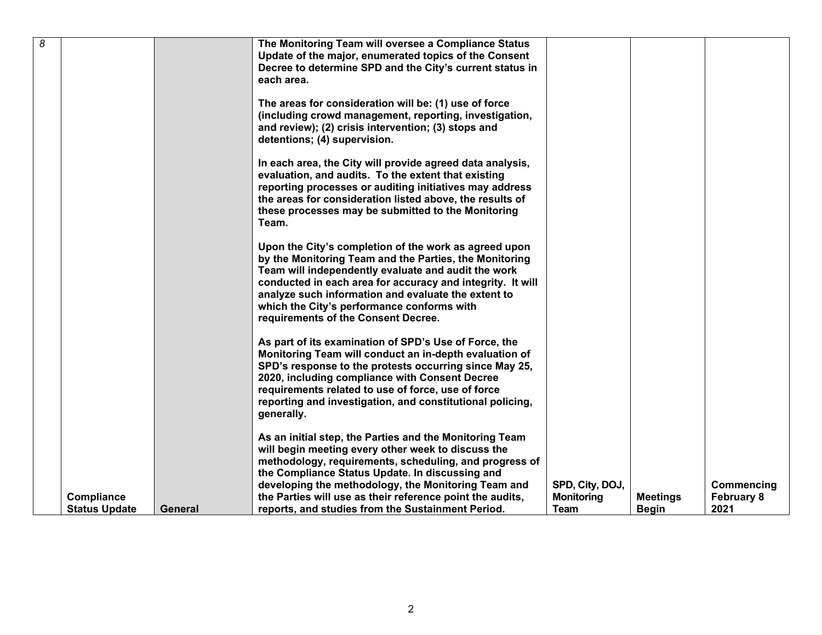| 8 |                      |         | The Monitoring Team will oversee a Compliance Status       |                   |                 |                   |
|---|----------------------|---------|------------------------------------------------------------|-------------------|-----------------|-------------------|
|   |                      |         | Update of the major, enumerated topics of the Consent      |                   |                 |                   |
|   |                      |         | Decree to determine SPD and the City's current status in   |                   |                 |                   |
|   |                      |         |                                                            |                   |                 |                   |
|   |                      |         | each area.                                                 |                   |                 |                   |
|   |                      |         |                                                            |                   |                 |                   |
|   |                      |         | The areas for consideration will be: (1) use of force      |                   |                 |                   |
|   |                      |         | (including crowd management, reporting, investigation,     |                   |                 |                   |
|   |                      |         |                                                            |                   |                 |                   |
|   |                      |         | and review); (2) crisis intervention; (3) stops and        |                   |                 |                   |
|   |                      |         | detentions; (4) supervision.                               |                   |                 |                   |
|   |                      |         |                                                            |                   |                 |                   |
|   |                      |         | In each area, the City will provide agreed data analysis,  |                   |                 |                   |
|   |                      |         | evaluation, and audits. To the extent that existing        |                   |                 |                   |
|   |                      |         |                                                            |                   |                 |                   |
|   |                      |         | reporting processes or auditing initiatives may address    |                   |                 |                   |
|   |                      |         | the areas for consideration listed above, the results of   |                   |                 |                   |
|   |                      |         | these processes may be submitted to the Monitoring         |                   |                 |                   |
|   |                      |         | Team.                                                      |                   |                 |                   |
|   |                      |         |                                                            |                   |                 |                   |
|   |                      |         |                                                            |                   |                 |                   |
|   |                      |         | Upon the City's completion of the work as agreed upon      |                   |                 |                   |
|   |                      |         | by the Monitoring Team and the Parties, the Monitoring     |                   |                 |                   |
|   |                      |         | Team will independently evaluate and audit the work        |                   |                 |                   |
|   |                      |         | conducted in each area for accuracy and integrity. It will |                   |                 |                   |
|   |                      |         | analyze such information and evaluate the extent to        |                   |                 |                   |
|   |                      |         |                                                            |                   |                 |                   |
|   |                      |         | which the City's performance conforms with                 |                   |                 |                   |
|   |                      |         | requirements of the Consent Decree.                        |                   |                 |                   |
|   |                      |         |                                                            |                   |                 |                   |
|   |                      |         | As part of its examination of SPD's Use of Force, the      |                   |                 |                   |
|   |                      |         | Monitoring Team will conduct an in-depth evaluation of     |                   |                 |                   |
|   |                      |         |                                                            |                   |                 |                   |
|   |                      |         | SPD's response to the protests occurring since May 25,     |                   |                 |                   |
|   |                      |         | 2020, including compliance with Consent Decree             |                   |                 |                   |
|   |                      |         | requirements related to use of force, use of force         |                   |                 |                   |
|   |                      |         | reporting and investigation, and constitutional policing,  |                   |                 |                   |
|   |                      |         | generally.                                                 |                   |                 |                   |
|   |                      |         |                                                            |                   |                 |                   |
|   |                      |         |                                                            |                   |                 |                   |
|   |                      |         | As an initial step, the Parties and the Monitoring Team    |                   |                 |                   |
|   |                      |         | will begin meeting every other week to discuss the         |                   |                 |                   |
|   |                      |         | methodology, requirements, scheduling, and progress of     |                   |                 |                   |
|   |                      |         | the Compliance Status Update. In discussing and            |                   |                 |                   |
|   |                      |         | developing the methodology, the Monitoring Team and        | SPD, City, DOJ,   |                 | Commencing        |
|   |                      |         |                                                            |                   |                 |                   |
|   | Compliance           |         | the Parties will use as their reference point the audits,  | <b>Monitoring</b> | <b>Meetings</b> | <b>February 8</b> |
|   | <b>Status Update</b> | General | reports, and studies from the Sustainment Period.          | Team              | <b>Begin</b>    | 2021              |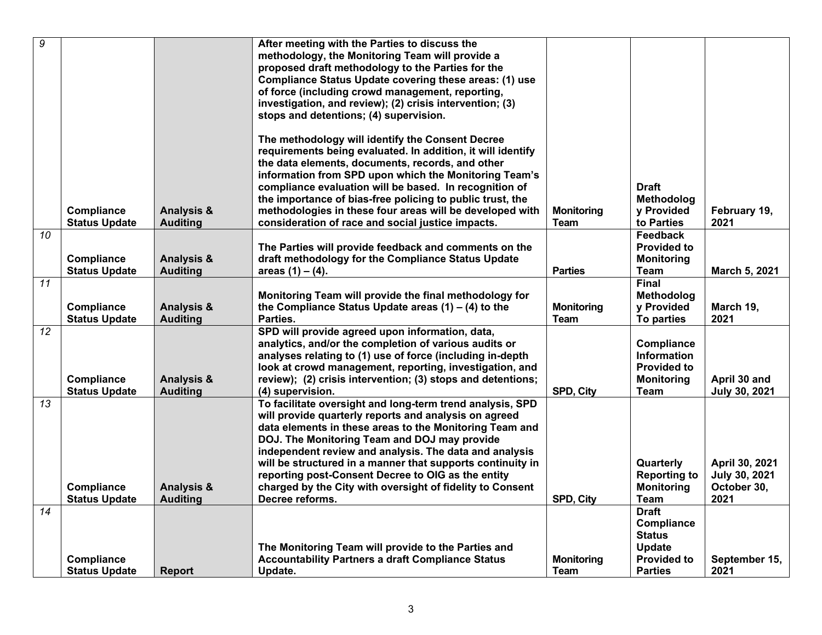| $\overline{9}$  |                      |                       | After meeting with the Parties to discuss the               |                   |                     |                |
|-----------------|----------------------|-----------------------|-------------------------------------------------------------|-------------------|---------------------|----------------|
|                 |                      |                       | methodology, the Monitoring Team will provide a             |                   |                     |                |
|                 |                      |                       | proposed draft methodology to the Parties for the           |                   |                     |                |
|                 |                      |                       | Compliance Status Update covering these areas: (1) use      |                   |                     |                |
|                 |                      |                       | of force (including crowd management, reporting,            |                   |                     |                |
|                 |                      |                       | investigation, and review); (2) crisis intervention; (3)    |                   |                     |                |
|                 |                      |                       | stops and detentions; (4) supervision.                      |                   |                     |                |
|                 |                      |                       |                                                             |                   |                     |                |
|                 |                      |                       | The methodology will identify the Consent Decree            |                   |                     |                |
|                 |                      |                       | requirements being evaluated. In addition, it will identify |                   |                     |                |
|                 |                      |                       | the data elements, documents, records, and other            |                   |                     |                |
|                 |                      |                       | information from SPD upon which the Monitoring Team's       |                   |                     |                |
|                 |                      |                       | compliance evaluation will be based. In recognition of      |                   | Draft               |                |
|                 |                      |                       | the importance of bias-free policing to public trust, the   |                   | Methodolog          |                |
|                 | Compliance           | <b>Analysis &amp;</b> | methodologies in these four areas will be developed with    | <b>Monitoring</b> | y Provided          | February 19,   |
|                 | <b>Status Update</b> | <b>Auditing</b>       | consideration of race and social justice impacts.           | Team              | to Parties          | 2021           |
| $\overline{10}$ |                      |                       |                                                             |                   | Feedback            |                |
|                 |                      |                       | The Parties will provide feedback and comments on the       |                   | <b>Provided to</b>  |                |
|                 | <b>Compliance</b>    | <b>Analysis &amp;</b> | draft methodology for the Compliance Status Update          |                   | <b>Monitoring</b>   |                |
|                 | <b>Status Update</b> | <b>Auditing</b>       | areas $(1) - (4)$ .                                         | <b>Parties</b>    | <b>Team</b>         | March 5, 2021  |
| $\overline{11}$ |                      |                       |                                                             |                   | <b>Final</b>        |                |
|                 |                      |                       | Monitoring Team will provide the final methodology for      |                   | Methodolog          |                |
|                 | Compliance           | <b>Analysis &amp;</b> | the Compliance Status Update areas $(1) - (4)$ to the       | <b>Monitoring</b> | y Provided          | March 19,      |
|                 | <b>Status Update</b> | <b>Auditing</b>       | Parties.                                                    | <b>Team</b>       | To parties          | 2021           |
| 12              |                      |                       | SPD will provide agreed upon information, data,             |                   |                     |                |
|                 |                      |                       | analytics, and/or the completion of various audits or       |                   | Compliance          |                |
|                 |                      |                       | analyses relating to (1) use of force (including in-depth   |                   | <b>Information</b>  |                |
|                 |                      |                       | look at crowd management, reporting, investigation, and     |                   | <b>Provided to</b>  |                |
|                 | Compliance           | <b>Analysis &amp;</b> | review); (2) crisis intervention; (3) stops and detentions; |                   | <b>Monitoring</b>   | April 30 and   |
|                 | <b>Status Update</b> | <b>Auditing</b>       | (4) supervision.                                            | SPD, City         | Team                | July 30, 2021  |
| 13              |                      |                       | To facilitate oversight and long-term trend analysis, SPD   |                   |                     |                |
|                 |                      |                       | will provide quarterly reports and analysis on agreed       |                   |                     |                |
|                 |                      |                       | data elements in these areas to the Monitoring Team and     |                   |                     |                |
|                 |                      |                       | DOJ. The Monitoring Team and DOJ may provide                |                   |                     |                |
|                 |                      |                       | independent review and analysis. The data and analysis      |                   |                     |                |
|                 |                      |                       | will be structured in a manner that supports continuity in  |                   | Quarterly           | April 30, 2021 |
|                 |                      |                       | reporting post-Consent Decree to OIG as the entity          |                   | <b>Reporting to</b> | July 30, 2021  |
|                 | Compliance           | <b>Analysis &amp;</b> | charged by the City with oversight of fidelity to Consent   |                   | <b>Monitoring</b>   | October 30,    |
|                 | <b>Status Update</b> | <b>Auditing</b>       | Decree reforms.                                             | SPD, City         | Team                | 2021           |
| 14              |                      |                       |                                                             |                   | <b>Draft</b>        |                |
|                 |                      |                       |                                                             |                   | Compliance          |                |
|                 |                      |                       |                                                             |                   | <b>Status</b>       |                |
|                 |                      |                       | The Monitoring Team will provide to the Parties and         |                   | Update              |                |
|                 | Compliance           |                       | <b>Accountability Partners a draft Compliance Status</b>    | <b>Monitoring</b> | <b>Provided to</b>  | September 15,  |
|                 | <b>Status Update</b> | <b>Report</b>         | Update.                                                     | Team              | <b>Parties</b>      | 2021           |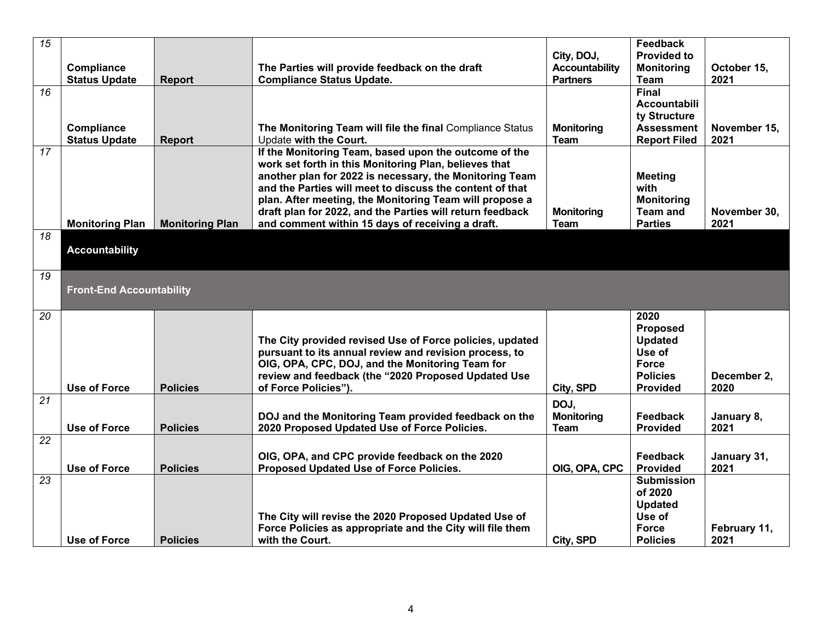| 15              |                                    |                        |                                                                                                                      |                                     | Feedback                                |              |
|-----------------|------------------------------------|------------------------|----------------------------------------------------------------------------------------------------------------------|-------------------------------------|-----------------------------------------|--------------|
|                 | Compliance                         |                        | The Parties will provide feedback on the draft                                                                       | City, DOJ,<br><b>Accountability</b> | <b>Provided to</b><br><b>Monitoring</b> | October 15,  |
|                 | <b>Status Update</b>               | <b>Report</b>          | <b>Compliance Status Update.</b>                                                                                     | <b>Partners</b>                     | <b>Team</b>                             | 2021         |
| 16              |                                    |                        |                                                                                                                      |                                     | <b>Final</b>                            |              |
|                 |                                    |                        |                                                                                                                      |                                     | <b>Accountabili</b>                     |              |
|                 |                                    |                        |                                                                                                                      |                                     | ty Structure<br><b>Assessment</b>       | November 15, |
|                 | Compliance<br><b>Status Update</b> | <b>Report</b>          | The Monitoring Team will file the final Compliance Status<br>Update with the Court.                                  | <b>Monitoring</b><br><b>Team</b>    | <b>Report Filed</b>                     | 2021         |
| 17              |                                    |                        | If the Monitoring Team, based upon the outcome of the                                                                |                                     |                                         |              |
|                 |                                    |                        | work set forth in this Monitoring Plan, believes that                                                                |                                     |                                         |              |
|                 |                                    |                        | another plan for 2022 is necessary, the Monitoring Team                                                              |                                     | <b>Meeting</b>                          |              |
|                 |                                    |                        | and the Parties will meet to discuss the content of that                                                             |                                     | with                                    |              |
|                 |                                    |                        | plan. After meeting, the Monitoring Team will propose a<br>draft plan for 2022, and the Parties will return feedback |                                     | <b>Monitoring</b><br><b>Team and</b>    | November 30, |
|                 | <b>Monitoring Plan</b>             | <b>Monitoring Plan</b> | and comment within 15 days of receiving a draft.                                                                     | <b>Monitoring</b><br><b>Team</b>    | <b>Parties</b>                          | 2021         |
| 18              |                                    |                        |                                                                                                                      |                                     |                                         |              |
|                 | <b>Accountability</b>              |                        |                                                                                                                      |                                     |                                         |              |
|                 |                                    |                        |                                                                                                                      |                                     |                                         |              |
| 19              |                                    |                        |                                                                                                                      |                                     |                                         |              |
|                 | <b>Front-End Accountability</b>    |                        |                                                                                                                      |                                     |                                         |              |
|                 |                                    |                        |                                                                                                                      |                                     |                                         |              |
| 20              |                                    |                        |                                                                                                                      |                                     | 2020                                    |              |
|                 |                                    |                        | The City provided revised Use of Force policies, updated                                                             |                                     | <b>Proposed</b><br><b>Updated</b>       |              |
|                 |                                    |                        | pursuant to its annual review and revision process, to                                                               |                                     | Use of                                  |              |
|                 |                                    |                        | OIG, OPA, CPC, DOJ, and the Monitoring Team for                                                                      |                                     | <b>Force</b>                            |              |
|                 |                                    |                        | review and feedback (the "2020 Proposed Updated Use                                                                  |                                     | <b>Policies</b>                         | December 2,  |
|                 | <b>Use of Force</b>                | <b>Policies</b>        | of Force Policies").                                                                                                 | City, SPD                           | <b>Provided</b>                         | 2020         |
| $\overline{21}$ |                                    |                        |                                                                                                                      | DOJ,                                |                                         |              |
|                 |                                    |                        | DOJ and the Monitoring Team provided feedback on the                                                                 | <b>Monitoring</b>                   | Feedback                                | January 8,   |
|                 | <b>Use of Force</b>                | <b>Policies</b>        | 2020 Proposed Updated Use of Force Policies.                                                                         | <b>Team</b>                         | <b>Provided</b>                         | 2021         |
| 22              |                                    |                        |                                                                                                                      |                                     |                                         |              |
|                 |                                    |                        | OIG, OPA, and CPC provide feedback on the 2020                                                                       |                                     | Feedback                                | January 31,  |
| 23              | <b>Use of Force</b>                | <b>Policies</b>        | Proposed Updated Use of Force Policies.                                                                              | OIG, OPA, CPC                       | <b>Provided</b><br><b>Submission</b>    | 2021         |
|                 |                                    |                        |                                                                                                                      |                                     | of 2020                                 |              |
|                 |                                    |                        |                                                                                                                      |                                     | <b>Updated</b>                          |              |
|                 |                                    |                        | The City will revise the 2020 Proposed Updated Use of                                                                |                                     | Use of                                  |              |
|                 |                                    |                        | Force Policies as appropriate and the City will file them                                                            |                                     | <b>Force</b>                            | February 11, |
|                 | <b>Use of Force</b>                | <b>Policies</b>        | with the Court.                                                                                                      | City, SPD                           | <b>Policies</b>                         | 2021         |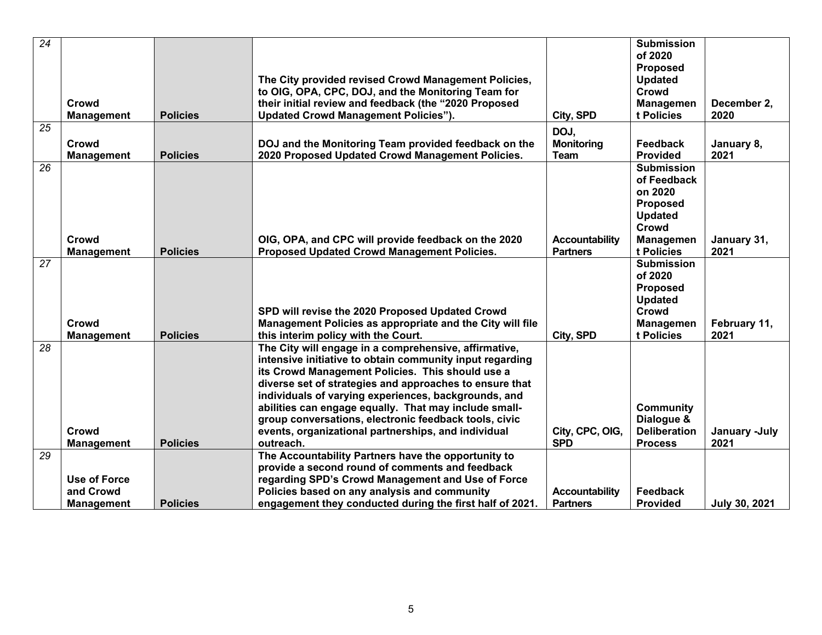| $\overline{24}$ | Crowd<br><b>Management</b>       | <b>Policies</b> | The City provided revised Crowd Management Policies,<br>to OIG, OPA, CPC, DOJ, and the Monitoring Team for<br>their initial review and feedback (the "2020 Proposed<br><b>Updated Crowd Management Policies").</b>                                                                                                                                                                                                                                                             | City, SPD                                | <b>Submission</b><br>of 2020<br><b>Proposed</b><br><b>Updated</b><br>Crowd<br><b>Managemen</b><br>t Policies  | December 2,<br>2020   |
|-----------------|----------------------------------|-----------------|--------------------------------------------------------------------------------------------------------------------------------------------------------------------------------------------------------------------------------------------------------------------------------------------------------------------------------------------------------------------------------------------------------------------------------------------------------------------------------|------------------------------------------|---------------------------------------------------------------------------------------------------------------|-----------------------|
| $\overline{25}$ | Crowd                            | <b>Policies</b> | DOJ and the Monitoring Team provided feedback on the                                                                                                                                                                                                                                                                                                                                                                                                                           | DOJ,<br><b>Monitoring</b><br><b>Team</b> | Feedback<br><b>Provided</b>                                                                                   | January 8,            |
| 26              | <b>Management</b><br>Crowd       |                 | 2020 Proposed Updated Crowd Management Policies.<br>OIG, OPA, and CPC will provide feedback on the 2020                                                                                                                                                                                                                                                                                                                                                                        | <b>Accountability</b>                    | <b>Submission</b><br>of Feedback<br>on 2020<br><b>Proposed</b><br><b>Updated</b><br>Crowd<br><b>Managemen</b> | 2021<br>January 31,   |
| 27              | <b>Management</b>                | <b>Policies</b> | Proposed Updated Crowd Management Policies.<br>SPD will revise the 2020 Proposed Updated Crowd                                                                                                                                                                                                                                                                                                                                                                                 | <b>Partners</b>                          | t Policies<br><b>Submission</b><br>of 2020<br><b>Proposed</b><br><b>Updated</b><br>Crowd                      | 2021                  |
|                 | Crowd<br><b>Management</b>       | <b>Policies</b> | Management Policies as appropriate and the City will file<br>this interim policy with the Court.                                                                                                                                                                                                                                                                                                                                                                               | City, SPD                                | Managemen<br>t Policies                                                                                       | February 11,<br>2021  |
| 28              | Crowd<br><b>Management</b>       | <b>Policies</b> | The City will engage in a comprehensive, affirmative,<br>intensive initiative to obtain community input regarding<br>its Crowd Management Policies. This should use a<br>diverse set of strategies and approaches to ensure that<br>individuals of varying experiences, backgrounds, and<br>abilities can engage equally. That may include small-<br>group conversations, electronic feedback tools, civic<br>events, organizational partnerships, and individual<br>outreach. | City, CPC, OIG,<br><b>SPD</b>            | <b>Community</b><br>Dialogue &<br><b>Deliberation</b><br><b>Process</b>                                       | January -July<br>2021 |
| 29              |                                  |                 | The Accountability Partners have the opportunity to                                                                                                                                                                                                                                                                                                                                                                                                                            |                                          |                                                                                                               |                       |
|                 | <b>Use of Force</b><br>and Crowd |                 | provide a second round of comments and feedback<br>regarding SPD's Crowd Management and Use of Force<br>Policies based on any analysis and community                                                                                                                                                                                                                                                                                                                           | <b>Accountability</b>                    | Feedback                                                                                                      |                       |
|                 | <b>Management</b>                | <b>Policies</b> | engagement they conducted during the first half of 2021.                                                                                                                                                                                                                                                                                                                                                                                                                       | <b>Partners</b>                          | <b>Provided</b>                                                                                               | <b>July 30, 2021</b>  |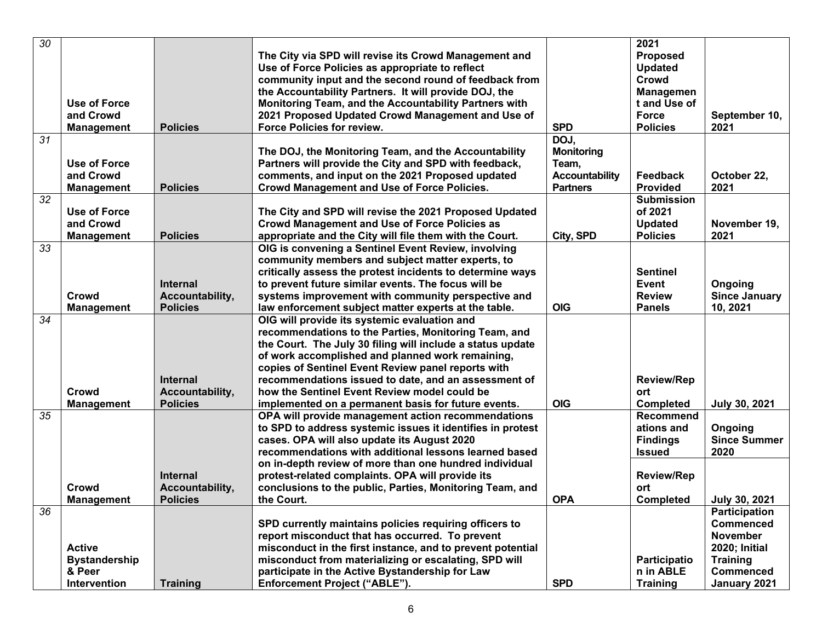| 30 |                      |                 |                                                            |                       | 2021              |                      |
|----|----------------------|-----------------|------------------------------------------------------------|-----------------------|-------------------|----------------------|
|    |                      |                 | The City via SPD will revise its Crowd Management and      |                       | <b>Proposed</b>   |                      |
|    |                      |                 | Use of Force Policies as appropriate to reflect            |                       | <b>Updated</b>    |                      |
|    |                      |                 |                                                            |                       | Crowd             |                      |
|    |                      |                 | community input and the second round of feedback from      |                       |                   |                      |
|    |                      |                 | the Accountability Partners. It will provide DOJ, the      |                       | <b>Managemen</b>  |                      |
|    | Use of Force         |                 | Monitoring Team, and the Accountability Partners with      |                       | t and Use of      |                      |
|    | and Crowd            |                 | 2021 Proposed Updated Crowd Management and Use of          |                       | <b>Force</b>      | September 10,        |
|    | <b>Management</b>    | <b>Policies</b> | Force Policies for review.                                 | <b>SPD</b>            | <b>Policies</b>   | 2021                 |
| 31 |                      |                 |                                                            | DOJ,                  |                   |                      |
|    |                      |                 | The DOJ, the Monitoring Team, and the Accountability       | <b>Monitoring</b>     |                   |                      |
|    | Use of Force         |                 | Partners will provide the City and SPD with feedback,      | Team,                 |                   |                      |
|    | and Crowd            |                 | comments, and input on the 2021 Proposed updated           | <b>Accountability</b> | Feedback          | October 22,          |
|    | <b>Management</b>    | <b>Policies</b> | <b>Crowd Management and Use of Force Policies.</b>         | <b>Partners</b>       | <b>Provided</b>   | 2021                 |
| 32 |                      |                 |                                                            |                       | <b>Submission</b> |                      |
|    | <b>Use of Force</b>  |                 | The City and SPD will revise the 2021 Proposed Updated     |                       | of 2021           |                      |
|    | and Crowd            |                 | <b>Crowd Management and Use of Force Policies as</b>       |                       | <b>Updated</b>    | November 19,         |
|    | <b>Management</b>    | <b>Policies</b> | appropriate and the City will file them with the Court.    | City, SPD             | <b>Policies</b>   | 2021                 |
| 33 |                      |                 | OIG is convening a Sentinel Event Review, involving        |                       |                   |                      |
|    |                      |                 | community members and subject matter experts, to           |                       |                   |                      |
|    |                      |                 | critically assess the protest incidents to determine ways  |                       | <b>Sentinel</b>   |                      |
|    |                      | <b>Internal</b> | to prevent future similar events. The focus will be        |                       | Event             |                      |
|    |                      |                 |                                                            |                       |                   | Ongoing              |
|    | Crowd                | Accountability, | systems improvement with community perspective and         |                       | <b>Review</b>     | <b>Since January</b> |
|    | <b>Management</b>    | <b>Policies</b> | law enforcement subject matter experts at the table.       | <b>OIG</b>            | <b>Panels</b>     | 10, 2021             |
| 34 |                      |                 | OIG will provide its systemic evaluation and               |                       |                   |                      |
|    |                      |                 | recommendations to the Parties, Monitoring Team, and       |                       |                   |                      |
|    |                      |                 | the Court. The July 30 filing will include a status update |                       |                   |                      |
|    |                      |                 | of work accomplished and planned work remaining,           |                       |                   |                      |
|    |                      |                 | copies of Sentinel Event Review panel reports with         |                       |                   |                      |
|    |                      | Internal        | recommendations issued to date, and an assessment of       |                       | <b>Review/Rep</b> |                      |
|    | Crowd                | Accountability, | how the Sentinel Event Review model could be               |                       | ort               |                      |
|    | <b>Management</b>    | <b>Policies</b> | implemented on a permanent basis for future events.        | <b>OIG</b>            | <b>Completed</b>  | July 30, 2021        |
| 35 |                      |                 | OPA will provide management action recommendations         |                       | <b>Recommend</b>  |                      |
|    |                      |                 | to SPD to address systemic issues it identifies in protest |                       | ations and        | Ongoing              |
|    |                      |                 | cases. OPA will also update its August 2020                |                       | <b>Findings</b>   | <b>Since Summer</b>  |
|    |                      |                 | recommendations with additional lessons learned based      |                       | <b>Issued</b>     | 2020                 |
|    |                      |                 | on in-depth review of more than one hundred individual     |                       |                   |                      |
|    |                      | <b>Internal</b> | protest-related complaints. OPA will provide its           |                       | <b>Review/Rep</b> |                      |
|    | Crowd                | Accountability, | conclusions to the public, Parties, Monitoring Team, and   |                       | ort               |                      |
|    |                      |                 |                                                            | <b>OPA</b>            |                   |                      |
|    | <b>Management</b>    | <b>Policies</b> | the Court.                                                 |                       | <b>Completed</b>  | July 30, 2021        |
| 36 |                      |                 |                                                            |                       |                   | <b>Participation</b> |
|    |                      |                 | SPD currently maintains policies requiring officers to     |                       |                   | <b>Commenced</b>     |
|    |                      |                 | report misconduct that has occurred. To prevent            |                       |                   | <b>November</b>      |
|    | <b>Active</b>        |                 | misconduct in the first instance, and to prevent potential |                       |                   | <b>2020; Initial</b> |
|    | <b>Bystandership</b> |                 | misconduct from materializing or escalating, SPD will      |                       | Participatio      | <b>Training</b>      |
|    | & Peer               |                 | participate in the Active Bystandership for Law            |                       | n in ABLE         | <b>Commenced</b>     |
|    | Intervention         | <b>Training</b> | Enforcement Project ("ABLE").                              | <b>SPD</b>            | <b>Training</b>   | January 2021         |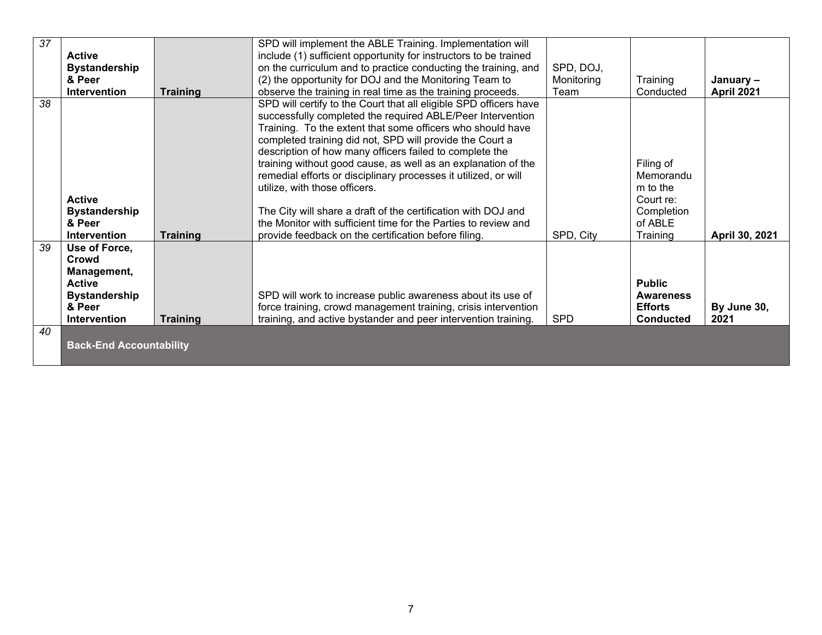| 37       | <b>Active</b><br><b>Bystandership</b><br>& Peer<br><b>Intervention</b>                                          | <b>Training</b> | SPD will implement the ABLE Training. Implementation will<br>include (1) sufficient opportunity for instructors to be trained<br>on the curriculum and to practice conducting the training, and<br>(2) the opportunity for DOJ and the Monitoring Team to<br>observe the training in real time as the training proceeds.                                                                                                                                                                                                                                                                                                                                                             | SPD, DOJ,<br>Monitoring<br>Team | Training<br>Conducted                                                                | January -<br>April 2021 |
|----------|-----------------------------------------------------------------------------------------------------------------|-----------------|--------------------------------------------------------------------------------------------------------------------------------------------------------------------------------------------------------------------------------------------------------------------------------------------------------------------------------------------------------------------------------------------------------------------------------------------------------------------------------------------------------------------------------------------------------------------------------------------------------------------------------------------------------------------------------------|---------------------------------|--------------------------------------------------------------------------------------|-------------------------|
| 38       | <b>Active</b><br><b>Bystandership</b><br>& Peer<br><b>Intervention</b>                                          | <b>Training</b> | SPD will certify to the Court that all eligible SPD officers have<br>successfully completed the required ABLE/Peer Intervention<br>Training. To the extent that some officers who should have<br>completed training did not, SPD will provide the Court a<br>description of how many officers failed to complete the<br>training without good cause, as well as an explanation of the<br>remedial efforts or disciplinary processes it utilized, or will<br>utilize, with those officers.<br>The City will share a draft of the certification with DOJ and<br>the Monitor with sufficient time for the Parties to review and<br>provide feedback on the certification before filing. | SPD, City                       | Filing of<br>Memorandu<br>m to the<br>Court re:<br>Completion<br>of ABLE<br>Training | April 30, 2021          |
| 39<br>40 | Use of Force,<br>Crowd<br>Management,<br><b>Active</b><br><b>Bystandership</b><br>& Peer<br><b>Intervention</b> | <b>Training</b> | SPD will work to increase public awareness about its use of<br>force training, crowd management training, crisis intervention<br>training, and active bystander and peer intervention training.                                                                                                                                                                                                                                                                                                                                                                                                                                                                                      | <b>SPD</b>                      | <b>Public</b><br><b>Awareness</b><br><b>Efforts</b><br><b>Conducted</b>              | By June 30,<br>2021     |
|          | <b>Back-End Accountability</b>                                                                                  |                 |                                                                                                                                                                                                                                                                                                                                                                                                                                                                                                                                                                                                                                                                                      |                                 |                                                                                      |                         |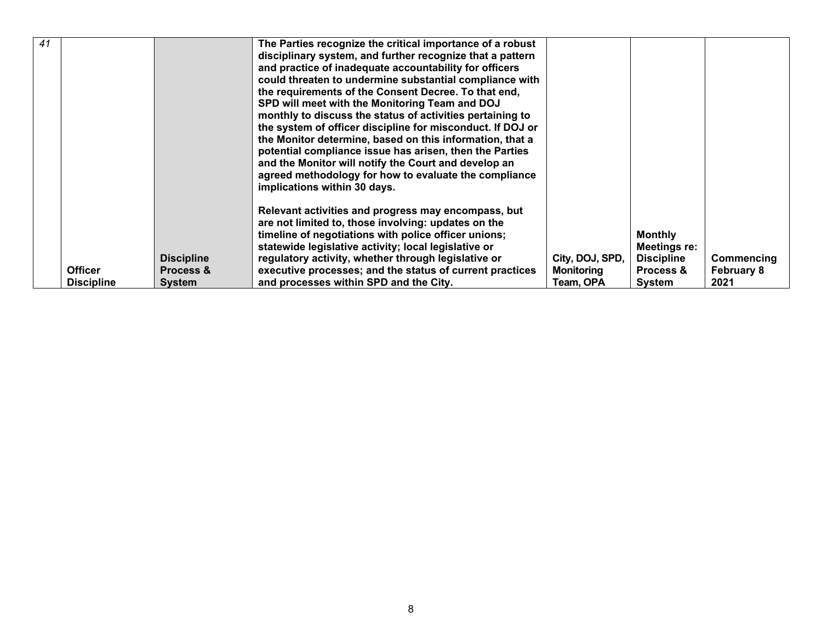| 41 |                                     |                                                            | The Parties recognize the critical importance of a robust<br>disciplinary system, and further recognize that a pattern<br>and practice of inadequate accountability for officers<br>could threaten to undermine substantial compliance with<br>the requirements of the Consent Decree. To that end,<br>SPD will meet with the Monitoring Team and DOJ<br>monthly to discuss the status of activities pertaining to<br>the system of officer discipline for misconduct. If DOJ or<br>the Monitor determine, based on this information, that a<br>potential compliance issue has arisen, then the Parties<br>and the Monitor will notify the Court and develop an<br>agreed methodology for how to evaluate the compliance<br>implications within 30 days. |                                                   |                                                                            |                                         |
|----|-------------------------------------|------------------------------------------------------------|----------------------------------------------------------------------------------------------------------------------------------------------------------------------------------------------------------------------------------------------------------------------------------------------------------------------------------------------------------------------------------------------------------------------------------------------------------------------------------------------------------------------------------------------------------------------------------------------------------------------------------------------------------------------------------------------------------------------------------------------------------|---------------------------------------------------|----------------------------------------------------------------------------|-----------------------------------------|
|    | <b>Officer</b><br><b>Discipline</b> | <b>Discipline</b><br><b>Process &amp;</b><br><b>System</b> | Relevant activities and progress may encompass, but<br>are not limited to, those involving: updates on the<br>timeline of negotiations with police officer unions;<br>statewide legislative activity; local legislative or<br>regulatory activity, whether through legislative or<br>executive processes; and the status of current practices<br>and processes within SPD and the City.                                                                                                                                                                                                                                                                                                                                                                  | City, DOJ, SPD,<br><b>Monitoring</b><br>Team, OPA | <b>Monthly</b><br>Meetings re:<br><b>Discipline</b><br>Process &<br>System | Commencing<br><b>February 8</b><br>2021 |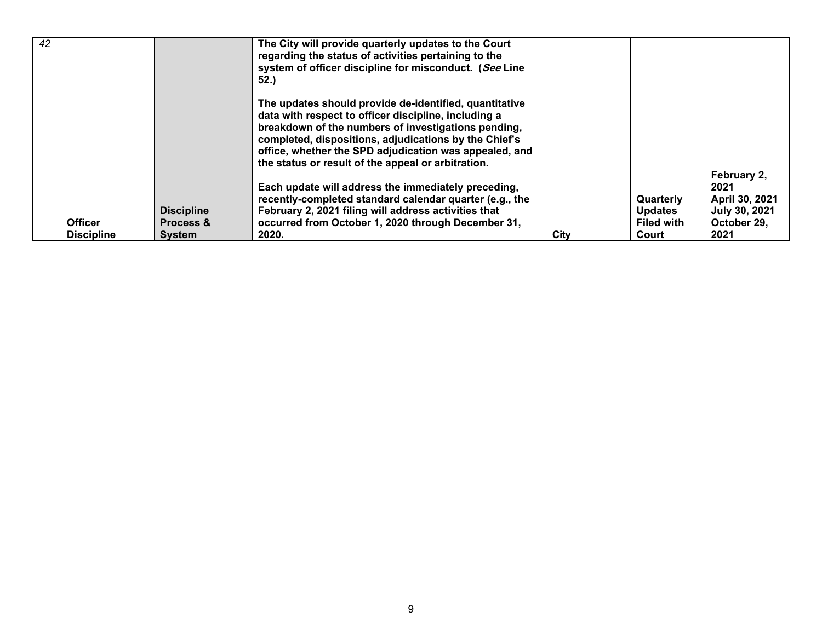| 42 |                   |                      | The City will provide quarterly updates to the Court<br>regarding the status of activities pertaining to the<br>system of officer discipline for misconduct. (See Line<br>52.                                                                                                                                                                  |      |                   |                                       |
|----|-------------------|----------------------|------------------------------------------------------------------------------------------------------------------------------------------------------------------------------------------------------------------------------------------------------------------------------------------------------------------------------------------------|------|-------------------|---------------------------------------|
|    |                   |                      | The updates should provide de-identified, quantitative<br>data with respect to officer discipline, including a<br>breakdown of the numbers of investigations pending,<br>completed, dispositions, adjudications by the Chief's<br>office, whether the SPD adjudication was appealed, and<br>the status or result of the appeal or arbitration. |      |                   |                                       |
|    |                   |                      | Each update will address the immediately preceding,<br>recently-completed standard calendar quarter (e.g., the                                                                                                                                                                                                                                 |      | Quarterly         | February 2,<br>2021<br>April 30, 2021 |
|    |                   | <b>Discipline</b>    | February 2, 2021 filing will address activities that                                                                                                                                                                                                                                                                                           |      | <b>Updates</b>    | July 30, 2021                         |
|    | <b>Officer</b>    | <b>Process &amp;</b> | occurred from October 1, 2020 through December 31,                                                                                                                                                                                                                                                                                             |      | <b>Filed with</b> | October 29.                           |
|    | <b>Discipline</b> | <b>System</b>        | 2020.                                                                                                                                                                                                                                                                                                                                          | City | Court             | 2021                                  |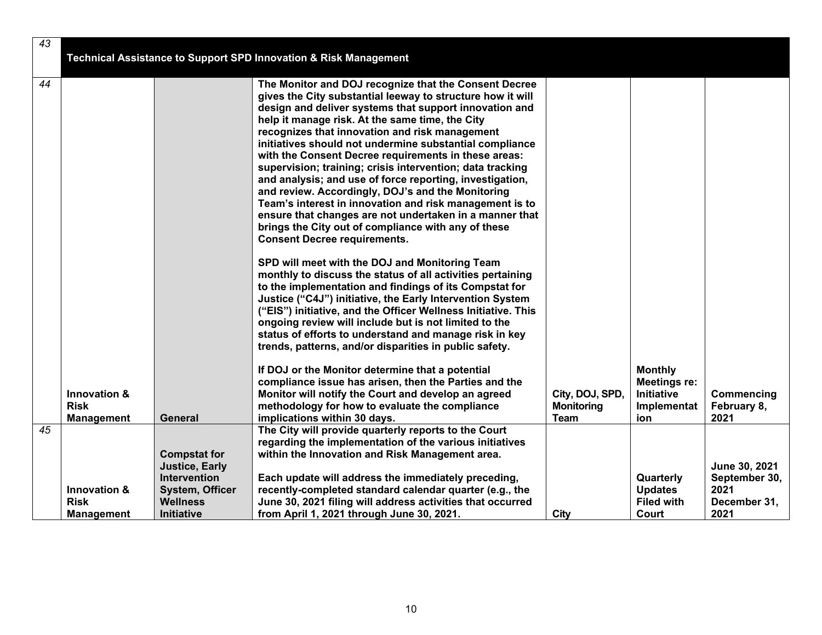| 43 |                                        |                                                                     |                                                                                                                                                                                                                                                                                                                                                                                                                                                                                                                                                                                                                                                                                                                                                                                                         |                                      |                                                             |                                |
|----|----------------------------------------|---------------------------------------------------------------------|---------------------------------------------------------------------------------------------------------------------------------------------------------------------------------------------------------------------------------------------------------------------------------------------------------------------------------------------------------------------------------------------------------------------------------------------------------------------------------------------------------------------------------------------------------------------------------------------------------------------------------------------------------------------------------------------------------------------------------------------------------------------------------------------------------|--------------------------------------|-------------------------------------------------------------|--------------------------------|
|    |                                        |                                                                     | <b>Technical Assistance to Support SPD Innovation &amp; Risk Management</b>                                                                                                                                                                                                                                                                                                                                                                                                                                                                                                                                                                                                                                                                                                                             |                                      |                                                             |                                |
| 44 |                                        |                                                                     | The Monitor and DOJ recognize that the Consent Decree<br>gives the City substantial leeway to structure how it will<br>design and deliver systems that support innovation and<br>help it manage risk. At the same time, the City<br>recognizes that innovation and risk management<br>initiatives should not undermine substantial compliance<br>with the Consent Decree requirements in these areas:<br>supervision; training; crisis intervention; data tracking<br>and analysis; and use of force reporting, investigation,<br>and review. Accordingly, DOJ's and the Monitoring<br>Team's interest in innovation and risk management is to<br>ensure that changes are not undertaken in a manner that<br>brings the City out of compliance with any of these<br><b>Consent Decree requirements.</b> |                                      |                                                             |                                |
|    |                                        |                                                                     | SPD will meet with the DOJ and Monitoring Team<br>monthly to discuss the status of all activities pertaining<br>to the implementation and findings of its Compstat for<br>Justice ("C4J") initiative, the Early Intervention System<br>("EIS") initiative, and the Officer Wellness Initiative. This<br>ongoing review will include but is not limited to the<br>status of efforts to understand and manage risk in key<br>trends, patterns, and/or disparities in public safety.                                                                                                                                                                                                                                                                                                                       |                                      |                                                             |                                |
|    | <b>Innovation &amp;</b><br><b>Risk</b> |                                                                     | If DOJ or the Monitor determine that a potential<br>compliance issue has arisen, then the Parties and the<br>Monitor will notify the Court and develop an agreed<br>methodology for how to evaluate the compliance                                                                                                                                                                                                                                                                                                                                                                                                                                                                                                                                                                                      | City, DOJ, SPD,<br><b>Monitoring</b> | <b>Monthly</b><br>Meetings re:<br>Initiative<br>Implementat | Commencing<br>February 8,      |
|    | <b>Management</b>                      | General                                                             | implications within 30 days.                                                                                                                                                                                                                                                                                                                                                                                                                                                                                                                                                                                                                                                                                                                                                                            | <b>Team</b>                          | ion                                                         | 2021                           |
| 45 |                                        | <b>Compstat for</b><br><b>Justice, Early</b><br><b>Intervention</b> | The City will provide quarterly reports to the Court<br>regarding the implementation of the various initiatives<br>within the Innovation and Risk Management area.<br>Each update will address the immediately preceding,                                                                                                                                                                                                                                                                                                                                                                                                                                                                                                                                                                               |                                      | Quarterly                                                   | June 30, 2021<br>September 30, |
|    | Innovation &<br><b>Risk</b>            | <b>System, Officer</b><br><b>Wellness</b>                           | recently-completed standard calendar quarter (e.g., the<br>June 30, 2021 filing will address activities that occurred                                                                                                                                                                                                                                                                                                                                                                                                                                                                                                                                                                                                                                                                                   |                                      | <b>Updates</b><br><b>Filed with</b>                         | 2021<br>December 31,           |
|    | <b>Management</b>                      | Initiative                                                          | from April 1, 2021 through June 30, 2021.                                                                                                                                                                                                                                                                                                                                                                                                                                                                                                                                                                                                                                                                                                                                                               | City                                 | Court                                                       | 2021                           |